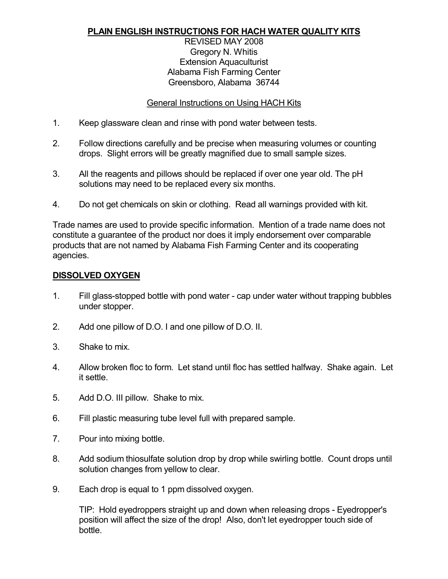### **PLAIN ENGLISH INSTRUCTIONS FOR HACH WATER QUALITY KITS**

#### REVISED MAY 2008 Gregory N. Whitis Extension Aquaculturist Alabama Fish Farming Center Greensboro, Alabama 36744

#### General Instructions on Using HACH Kits

- 1. Keep glassware clean and rinse with pond water between tests.
- 2. Follow directions carefully and be precise when measuring volumes or counting drops. Slight errors will be greatly magnified due to small sample sizes.
- 3. All the reagents and pillows should be replaced if over one year old. The pH solutions may need to be replaced every six months.
- 4. Do not get chemicals on skin or clothing. Read all warnings provided with kit.

Trade names are used to provide specific information. Mention of a trade name does not constitute a guarantee of the product nor does it imply endorsement over comparable products that are not named by Alabama Fish Farming Center and its cooperating agencies.

#### **DISSOLVED OXYGEN**

- 1. Fill glass-stopped bottle with pond water cap under water without trapping bubbles under stopper.
- 2. Add one pillow of D.O. I and one pillow of D.O. II.
- 3. Shake to mix.
- 4. Allow broken floc to form. Let stand until floc has settled halfway. Shake again. Let it settle.
- 5. Add D.O. III pillow. Shake to mix.
- 6. Fill plastic measuring tube level full with prepared sample.
- 7. Pour into mixing bottle.
- 8. Add sodium thiosulfate solution drop by drop while swirling bottle. Count drops until solution changes from yellow to clear.
- 9. Each drop is equal to 1 ppm dissolved oxygen.

TIP: Hold eyedroppers straight up and down when releasing drops - Eyedropper's position will affect the size of the drop! Also, don't let eyedropper touch side of bottle.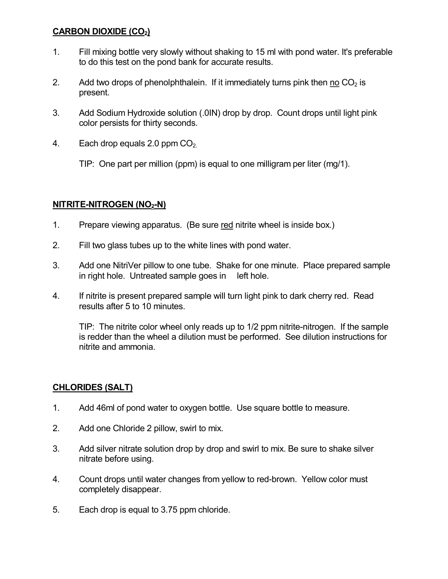## **CARBON DIOXIDE (CO2)**

- 1. Fill mixing bottle very slowly without shaking to 15 ml with pond water. It's preferable to do this test on the pond bank for accurate results.
- 2. Add two drops of phenolphthalein. If it immediately turns pink then no  $CO<sub>2</sub>$  is present.
- 3. Add Sodium Hydroxide solution (.0IN) drop by drop. Count drops until light pink color persists for thirty seconds.
- 4. Each drop equals  $2.0$  ppm  $CO<sub>2</sub>$ .

TIP: One part per million (ppm) is equal to one milligram per liter (mg/1).

# **NITRITE-NITROGEN** (NO<sub>2</sub>-N)

- 1. Prepare viewing apparatus. (Be sure red nitrite wheel is inside box.)
- 2. Fill two glass tubes up to the white lines with pond water.
- 3. Add one NitriVer pillow to one tube. Shake for one minute. Place prepared sample in right hole. Untreated sample goes in left hole.
- 4. If nitrite is present prepared sample will turn light pink to dark cherry red. Read results after 5 to 10 minutes.

TIP: The nitrite color wheel only reads up to 1/2 ppm nitrite-nitrogen. If the sample is redder than the wheel a dilution must be performed. See dilution instructions for nitrite and ammonia.

# **CHLORIDES (SALT)**

- 1. Add 46ml of pond water to oxygen bottle. Use square bottle to measure.
- 2. Add one Chloride 2 pillow, swirl to mix.
- 3. Add silver nitrate solution drop by drop and swirl to mix. Be sure to shake silver nitrate before using.
- 4. Count drops until water changes from yellow to red-brown. Yellow color must completely disappear.
- 5. Each drop is equal to 3.75 ppm chloride.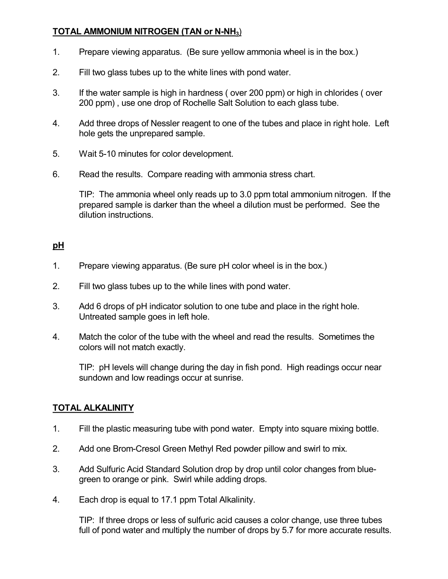## **TOTAL AMMONIUM NITROGEN (TAN or N-NH<sub>3</sub>)**

- 1. Prepare viewing apparatus. (Be sure yellow ammonia wheel is in the box.)
- 2. Fill two glass tubes up to the white lines with pond water.
- 3. If the water sample is high in hardness ( over 200 ppm) or high in chlorides ( over 200 ppm) , use one drop of Rochelle Salt Solution to each glass tube.
- 4. Add three drops of Nessler reagent to one of the tubes and place in right hole. Left hole gets the unprepared sample.
- 5. Wait 510 minutes for color development.
- 6. Read the results. Compare reading with ammonia stress chart.

TIP: The ammonia wheel only reads up to 3.0 ppm total ammonium nitrogen. If the prepared sample is darker than the wheel a dilution must be performed. See the dilution instructions.

#### **pH**

- 1. Prepare viewing apparatus. (Be sure pH color wheel is in the box.)
- 2. Fill two glass tubes up to the while lines with pond water.
- 3. Add 6 drops of pH indicator solution to one tube and place in the right hole. Untreated sample goes in left hole.
- 4. Match the color of the tube with the wheel and read the results. Sometimes the colors will not match exactly.

TIP: pH levels will change during the day in fish pond. High readings occur near sundown and low readings occur at sunrise.

#### **TOTAL ALKALINITY**

- 1. Fill the plastic measuring tube with pond water. Empty into square mixing bottle.
- 2. Add one Brom-Cresol Green Methyl Red powder pillow and swirl to mix.
- 3. Add Sulfuric Acid Standard Solution drop by drop until color changes from blue green to orange or pink. Swirl while adding drops.
- 4. Each drop is equal to 17.1 ppm Total Alkalinity.

TIP: If three drops or less of sulfuric acid causes a color change, use three tubes full of pond water and multiply the number of drops by 5.7 for more accurate results.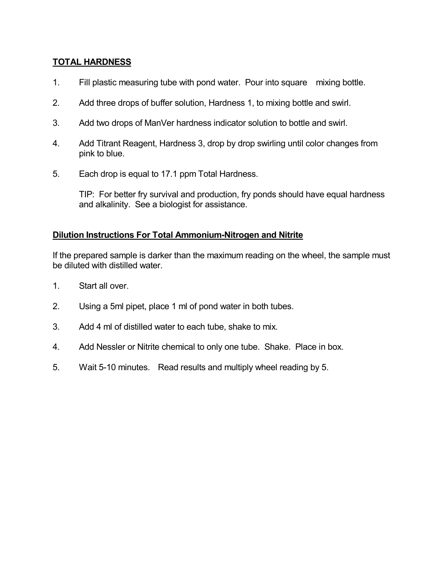## **TOTAL HARDNESS**

- 1. Fill plastic measuring tube with pond water. Pour into square mixing bottle.
- 2. Add three drops of buffer solution, Hardness 1, to mixing bottle and swirl.
- 3. Add two drops of ManVer hardness indicator solution to bottle and swirl.
- 4. Add Titrant Reagent, Hardness 3, drop by drop swirling until color changes from pink to blue.
- 5. Each drop is equal to 17.1 ppm Total Hardness.

TIP: For better fry survival and production, fry ponds should have equal hardness and alkalinity. See a biologist for assistance.

### **Dilution Instructions For Total Ammonium-Nitrogen and Nitrite**

If the prepared sample is darker than the maximum reading on the wheel, the sample must be diluted with distilled water.

- 1. Start all over.
- 2. Using a 5ml pipet, place 1 ml of pond water in both tubes.
- 3. Add 4 ml of distilled water to each tube, shake to mix.
- 4. Add Nessler or Nitrite chemical to only one tube. Shake. Place in box.
- 5. Wait 5-10 minutes. Read results and multiply wheel reading by 5.